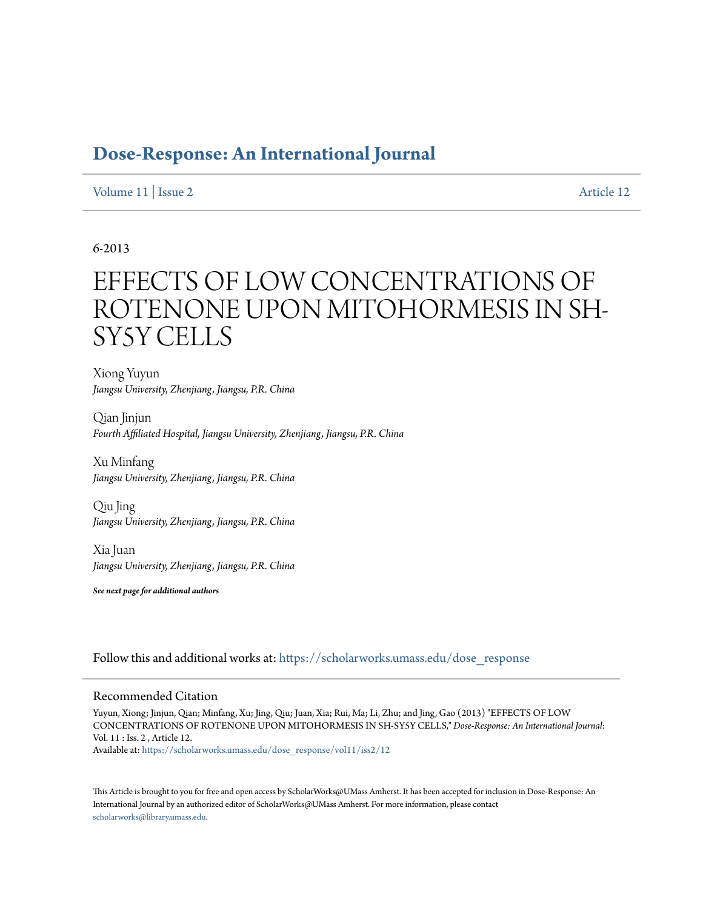# **[Dose-Response: An International Journal](https://scholarworks.umass.edu/dose_response?utm_source=scholarworks.umass.edu%2Fdose_response%2Fvol11%2Fiss2%2F12&utm_medium=PDF&utm_campaign=PDFCoverPages)**

[Volume 11](https://scholarworks.umass.edu/dose_response/vol11?utm_source=scholarworks.umass.edu%2Fdose_response%2Fvol11%2Fiss2%2F12&utm_medium=PDF&utm_campaign=PDFCoverPages) | [Issue 2](https://scholarworks.umass.edu/dose_response/vol11/iss2?utm_source=scholarworks.umass.edu%2Fdose_response%2Fvol11%2Fiss2%2F12&utm_medium=PDF&utm_campaign=PDFCoverPages) [Article 12](https://scholarworks.umass.edu/dose_response/vol11/iss2/12?utm_source=scholarworks.umass.edu%2Fdose_response%2Fvol11%2Fiss2%2F12&utm_medium=PDF&utm_campaign=PDFCoverPages)

# 6-2013

# EFFECTS OF LOW CONCENTRATIONS OF ROTENONE UPON MITOHORMESIS IN SH-SY5Y CELLS

Xiong Yuyun *Jiangsu University, Zhenjiang, Jiangsu, P.R. China*

Qian Jinjun *Fourth Affiliated Hospital, Jiangsu University, Zhenjiang, Jiangsu, P.R. China*

Xu Minfang *Jiangsu University, Zhenjiang, Jiangsu, P.R. China*

Qiu Jing *Jiangsu University, Zhenjiang, Jiangsu, P.R. China*

Xia Juan *Jiangsu University, Zhenjiang, Jiangsu, P.R. China*

*See next page for additional authors*

Follow this and additional works at: [https://scholarworks.umass.edu/dose\\_response](https://scholarworks.umass.edu/dose_response?utm_source=scholarworks.umass.edu%2Fdose_response%2Fvol11%2Fiss2%2F12&utm_medium=PDF&utm_campaign=PDFCoverPages)

### Recommended Citation

Yuyun, Xiong; Jinjun, Qian; Minfang, Xu; Jing, Qiu; Juan, Xia; Rui, Ma; Li, Zhu; and Jing, Gao (2013) "EFFECTS OF LOW CONCENTRATIONS OF ROTENONE UPON MITOHORMESIS IN SH-SY5Y CELLS," *Dose-Response: An International Journal*: Vol. 11 : Iss. 2 , Article 12. Available at: [https://scholarworks.umass.edu/dose\\_response/vol11/iss2/12](https://scholarworks.umass.edu/dose_response/vol11/iss2/12?utm_source=scholarworks.umass.edu%2Fdose_response%2Fvol11%2Fiss2%2F12&utm_medium=PDF&utm_campaign=PDFCoverPages)

This Article is brought to you for free and open access by ScholarWorks@UMass Amherst. It has been accepted for inclusion in Dose-Response: An International Journal by an authorized editor of ScholarWorks@UMass Amherst. For more information, please contact [scholarworks@library.umass.edu](mailto:scholarworks@library.umass.edu).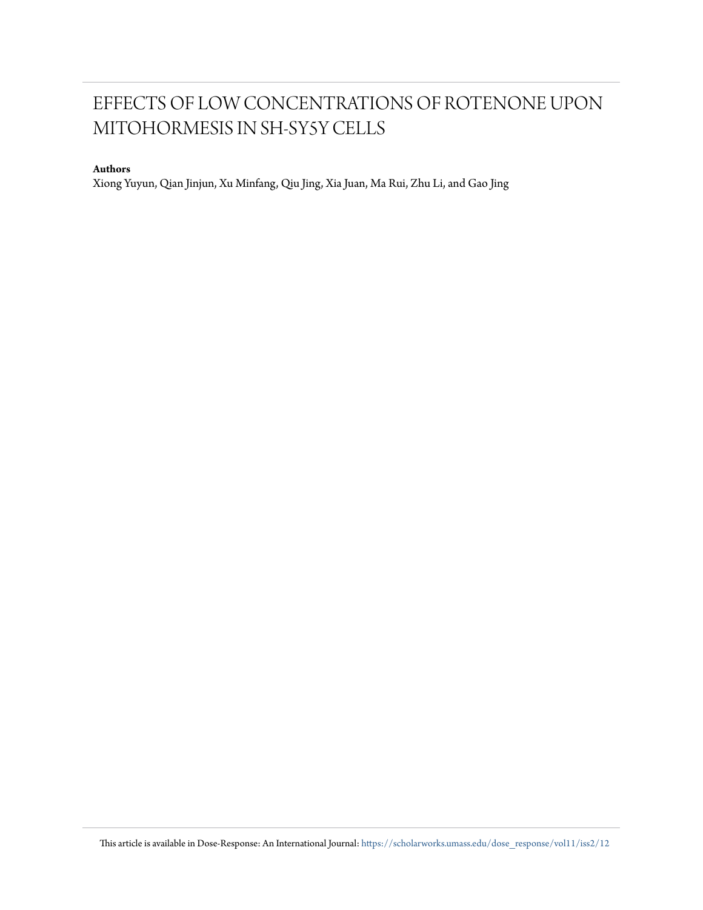# EFFECTS OF LOW CONCENTRATIONS OF ROTENONE UPON MITOHORMESIS IN SH-SY5Y CELLS

# **Authors**

Xiong Yuyun, Qian Jinjun, Xu Minfang, Qiu Jing, Xia Juan, Ma Rui, Zhu Li, and Gao Jing

This article is available in Dose-Response: An International Journal: [https://scholarworks.umass.edu/dose\\_response/vol11/iss2/12](https://scholarworks.umass.edu/dose_response/vol11/iss2/12?utm_source=scholarworks.umass.edu%2Fdose_response%2Fvol11%2Fiss2%2F12&utm_medium=PDF&utm_campaign=PDFCoverPages)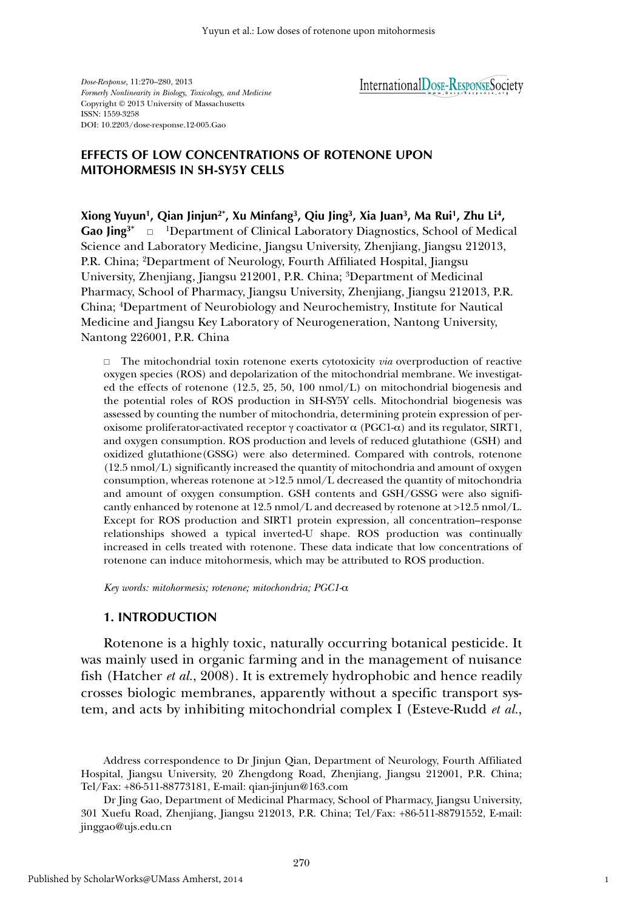*Dose-Response,* 11:270–280, 2013 *Formerly Nonlinearity in Biology, Toxicology, and Medicine* Copyright © 2013 University of Massachusetts ISSN: 1559-3258 DOI: 10.2203/dose-response.12-005.Gao

# InternationalDosE-RESPONSESociety

# **EFFECTS OF LOW CONCENTRATIONS OF ROTENONE UPON MITOHORMESIS IN SH-SY5Y CELLS**

**Xiong Yuyun1, Qian Jinjun2\*, Xu Minfang3, Qiu Jing3, Xia Juan3, Ma Rui1, Zhu Li4,** Gao Jing<sup>3\*</sup>  $\Box$  <sup>1</sup>Department of Clinical Laboratory Diagnostics, School of Medical Science and Laboratory Medicine, Jiangsu University, Zhenjiang, Jiangsu 212013, P.R. China; 2Department of Neurology, Fourth Affiliated Hospital, Jiangsu University, Zhenjiang, Jiangsu 212001, P.R. China; 3Department of Medicinal Pharmacy, School of Pharmacy, Jiangsu University, Zhenjiang, Jiangsu 212013, P.R. China; 4Department of Neurobiology and Neurochemistry, Institute for Nautical Medicine and Jiangsu Key Laboratory of Neurogeneration, Nantong University, Nantong 226001, P.R. China

□ The mitochondrial toxin rotenone exerts cytotoxicity *via* overproduction of reactive oxygen species (ROS) and depolarization of the mitochondrial membrane. We investigated the effects of rotenone (12.5, 25, 50, 100 nmol/L) on mitochondrial biogenesis and the potential roles of ROS production in SH-SY5Y cells. Mitochondrial biogenesis was assessed by counting the number of mitochondria, determining protein expression of peroxisome proliferator-activated receptor γ coactivator  $\alpha$  (PGC1- $\alpha$ ) and its regulator, SIRT1, and oxygen consumption. ROS production and levels of reduced glutathione (GSH) and oxidized glutathione(GSSG) were also determined. Compared with controls, rotenone (12.5 nmol/L) significantly increased the quantity of mitochondria and amount of oxygen consumption, whereas rotenone at >12.5 nmol/L decreased the quantity of mitochondria and amount of oxygen consumption. GSH contents and GSH/GSSG were also significantly enhanced by rotenone at 12.5 nmol/L and decreased by rotenone at >12.5 nmol/L. Except for ROS production and SIRT1 protein expression, all concentration–response relationships showed a typical inverted-U shape. ROS production was continually increased in cells treated with rotenone. These data indicate that low concentrations of rotenone can induce mitohormesis, which may be attributed to ROS production.

*Key words: mitohormesis; rotenone; mitochondria; PGC1-*α

# **1. INTRODUCTION**

Rotenone is a highly toxic, naturally occurring botanical pesticide. It was mainly used in organic farming and in the management of nuisance fish (Hatcher *et al.*, 2008). It is extremely hydrophobic and hence readily crosses biologic membranes, apparently without a specific transport system, and acts by inhibiting mitochondrial complex I (Esteve-Rudd *et al.*,

Address correspondence to Dr Jinjun Qian, Department of Neurology, Fourth Affiliated Hospital, Jiangsu University, 20 Zhengdong Road, Zhenjiang, Jiangsu 212001, P.R. China; Tel/Fax: +86-511-88773181, E-mail: qian-jinjun@163.com

Dr Jing Gao, Department of Medicinal Pharmacy, School of Pharmacy, Jiangsu University, 301 Xuefu Road, Zhenjiang, Jiangsu 212013, P.R. China; Tel/Fax: +86-511-88791552, E-mail: jinggao@ujs.edu.cn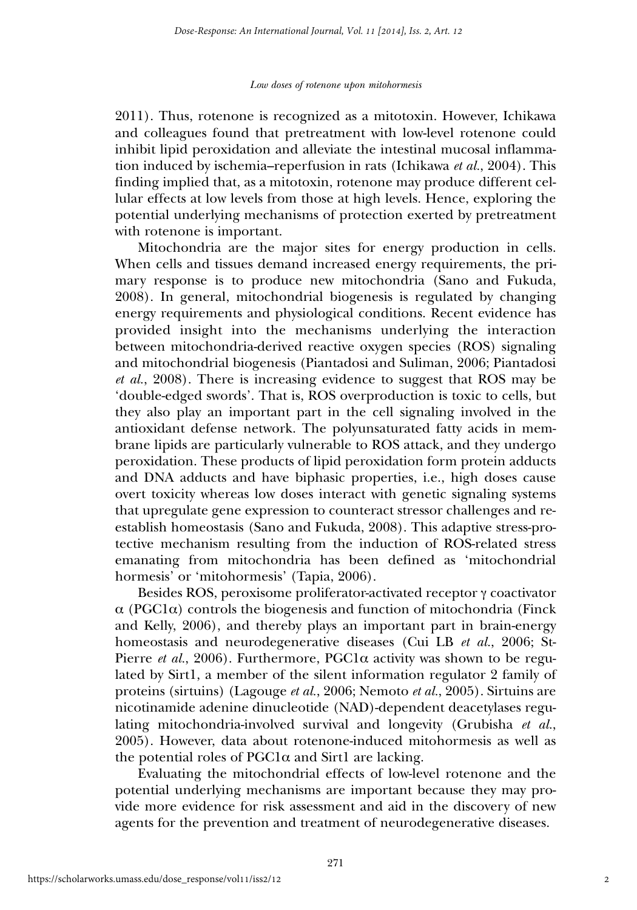2011). Thus, rotenone is recognized as a mitotoxin. However, Ichikawa and colleagues found that pretreatment with low-level rotenone could inhibit lipid peroxidation and alleviate the intestinal mucosal inflammation induced by ischemia–reperfusion in rats (Ichikawa *et al.*, 2004). This finding implied that, as a mitotoxin, rotenone may produce different cellular effects at low levels from those at high levels. Hence, exploring the potential underlying mechanisms of protection exerted by pretreatment with rotenone is important.

Mitochondria are the major sites for energy production in cells. When cells and tissues demand increased energy requirements, the primary response is to produce new mitochondria (Sano and Fukuda, 2008). In general, mitochondrial biogenesis is regulated by changing energy requirements and physiological conditions. Recent evidence has provided insight into the mechanisms underlying the interaction between mitochondria-derived reactive oxygen species (ROS) signaling and mitochondrial biogenesis (Piantadosi and Suliman, 2006; Piantadosi *et al.*, 2008). There is increasing evidence to suggest that ROS may be 'double-edged swords'. That is, ROS overproduction is toxic to cells, but they also play an important part in the cell signaling involved in the antioxidant defense network. The polyunsaturated fatty acids in membrane lipids are particularly vulnerable to ROS attack, and they undergo peroxidation. These products of lipid peroxidation form protein adducts and DNA adducts and have biphasic properties, i.e., high doses cause overt toxicity whereas low doses interact with genetic signaling systems that upregulate gene expression to counteract stressor challenges and reestablish homeostasis (Sano and Fukuda, 2008). This adaptive stress-protective mechanism resulting from the induction of ROS-related stress emanating from mitochondria has been defined as 'mitochondrial hormesis' or 'mitohormesis' (Tapia, 2006).

Besides ROS, peroxisome proliferator-activated receptor γ coactivator  $\alpha$  (PGC1 $\alpha$ ) controls the biogenesis and function of mitochondria (Finck and Kelly, 2006), and thereby plays an important part in brain-energy homeostasis and neurodegenerative diseases (Cui LB *et al.*, 2006; St-Pierre *et al.*, 2006). Furthermore, PGC1 $\alpha$  activity was shown to be regulated by Sirt1, a member of the silent information regulator 2 family of proteins (sirtuins) (Lagouge *et al.*, 2006; Nemoto *et al.*, 2005). Sirtuins are nicotinamide adenine dinucleotide (NAD)-dependent deacetylases regulating mitochondria-involved survival and longevity (Grubisha *et al.*, 2005). However, data about rotenone-induced mitohormesis as well as the potential roles of  $PGC1\alpha$  and Sirt1 are lacking.

Evaluating the mitochondrial effects of low-level rotenone and the potential underlying mechanisms are important because they may provide more evidence for risk assessment and aid in the discovery of new agents for the prevention and treatment of neurodegenerative diseases.

2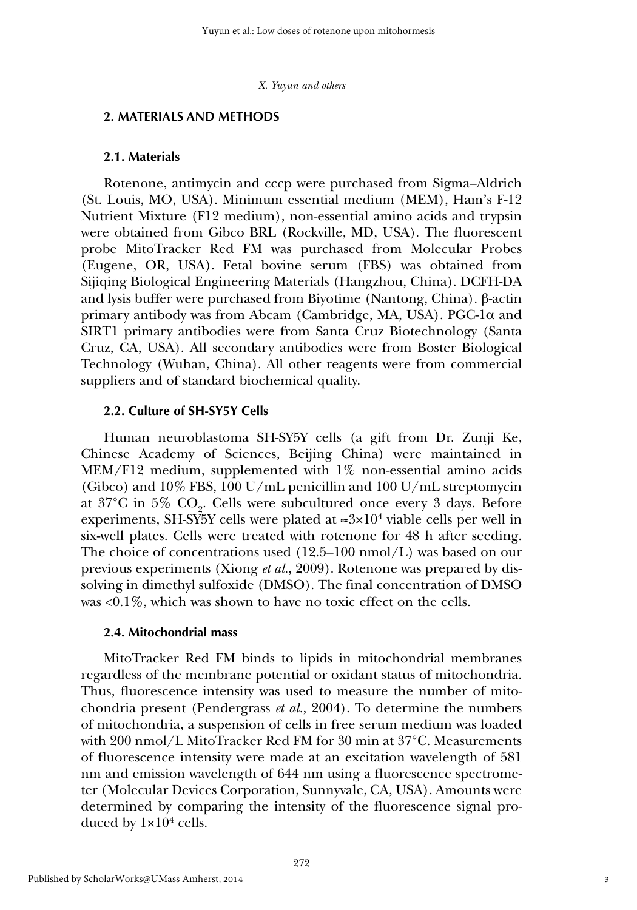#### **2. MATERIALS AND METHODS**

#### **2.1. Materials**

Rotenone, antimycin and cccp were purchased from Sigma–Aldrich (St. Louis, MO, USA). Minimum essential medium (MEM), Ham's F-12 Nutrient Mixture (F12 medium), non-essential amino acids and trypsin were obtained from Gibco BRL (Rockville, MD, USA). The fluorescent probe MitoTracker Red FM was purchased from Molecular Probes (Eugene, OR, USA). Fetal bovine serum (FBS) was obtained from Sijiqing Biological Engineering Materials (Hangzhou, China). DCFH-DA and lysis buffer were purchased from Biyotime (Nantong, China). β-actin primary antibody was from Abcam (Cambridge, MA, USA). PGC-1α and SIRT1 primary antibodies were from Santa Cruz Biotechnology (Santa Cruz, CA, USA). All secondary antibodies were from Boster Biological Technology (Wuhan, China). All other reagents were from commercial suppliers and of standard biochemical quality.

#### **2.2. Culture of SH-SY5Y Cells**

Human neuroblastoma SH-SY5Y cells (a gift from Dr. Zunji Ke, Chinese Academy of Sciences, Beijing China) were maintained in MEM/F12 medium, supplemented with 1% non-essential amino acids (Gibco) and  $10\%$  FBS, 100 U/mL penicillin and 100 U/mL streptomycin at  $37^{\circ}$ C in  $5\%$  CO<sub>9</sub>. Cells were subcultured once every 3 days. Before experiments, SH-SY5Y cells were plated at  $\approx 3 \times 10^4$  viable cells per well in six-well plates. Cells were treated with rotenone for 48 h after seeding. The choice of concentrations used  $(12.5-100 \text{ nmol/L})$  was based on our previous experiments (Xiong *et al.*, 2009). Rotenone was prepared by dissolving in dimethyl sulfoxide (DMSO). The final concentration of DMSO was <0.1%, which was shown to have no toxic effect on the cells.

### **2.4. Mitochondrial mass**

MitoTracker Red FM binds to lipids in mitochondrial membranes regardless of the membrane potential or oxidant status of mitochondria. Thus, fluorescence intensity was used to measure the number of mitochondria present (Pendergrass *et al.*, 2004). To determine the numbers of mitochondria, a suspension of cells in free serum medium was loaded with 200 nmol/L MitoTracker Red FM for 30 min at 37°C. Measurements of fluorescence intensity were made at an excitation wavelength of 581 nm and emission wavelength of 644 nm using a fluorescence spectrometer (Molecular Devices Corporation, Sunnyvale, CA, USA). Amounts were determined by comparing the intensity of the fluorescence signal produced by  $1\times10^4$  cells.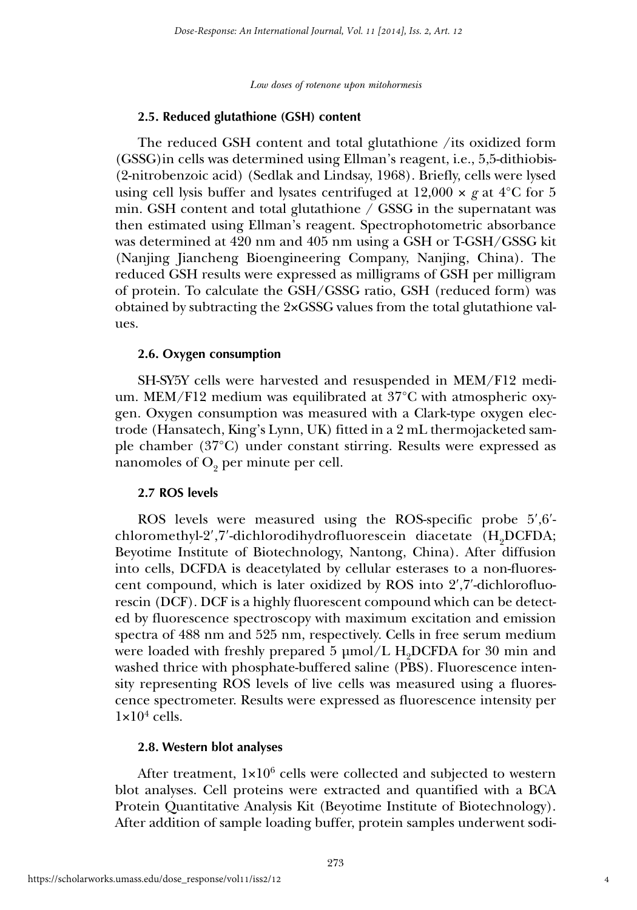#### **2.5. Reduced glutathione (GSH) content**

The reduced GSH content and total glutathione /its oxidized form (GSSG)in cells was determined using Ellman's reagent, i.e., 5,5-dithiobis- (2-nitrobenzoic acid) (Sedlak and Lindsay, 1968). Briefly, cells were lysed using cell lysis buffer and lysates centrifuged at  $12,000 \times g$  at  $4^{\circ}$ C for 5 min. GSH content and total glutathione  $\ell$  GSSG in the supernatant was then estimated using Ellman's reagent. Spectrophotometric absorbance was determined at 420 nm and 405 nm using a GSH or T-GSH/GSSG kit (Nanjing Jiancheng Bioengineering Company, Nanjing, China). The reduced GSH results were expressed as milligrams of GSH per milligram of protein. To calculate the GSH/GSSG ratio, GSH (reduced form) was obtained by subtracting the 2×GSSG values from the total glutathione values.

#### **2.6. Oxygen consumption**

SH-SY5Y cells were harvested and resuspended in MEM/F12 medium. MEM/F12 medium was equilibrated at 37°C with atmospheric oxygen. Oxygen consumption was measured with a Clark-type oxygen electrode (Hansatech, King's Lynn, UK) fitted in a 2 mL thermojacketed sample chamber (37°C) under constant stirring. Results were expressed as nanomoles of  $O<sub>9</sub>$  per minute per cell.

#### **2.7 ROS levels**

ROS levels were measured using the ROS-specific probe 5′,6′ chloromethyl-2',7'-dichlorodihydrofluorescein diacetate  $(H<sub>0</sub>DCFDA;$ Beyotime Institute of Biotechnology, Nantong, China). After diffusion into cells, DCFDA is deacetylated by cellular esterases to a non-fluorescent compound, which is later oxidized by ROS into 2′,7′-dichlorofluorescin (DCF). DCF is a highly fluorescent compound which can be detected by fluorescence spectroscopy with maximum excitation and emission spectra of 488 nm and 525 nm, respectively. Cells in free serum medium were loaded with freshly prepared 5  $\mu$ mol/L H<sub>2</sub>DCFDA for 30 min and washed thrice with phosphate-buffered saline (PBS). Fluorescence intensity representing ROS levels of live cells was measured using a fluorescence spectrometer. Results were expressed as fluorescence intensity per  $1\times10^4$  cells.

#### **2.8. Western blot analyses**

After treatment,  $1 \times 10^6$  cells were collected and subjected to western blot analyses. Cell proteins were extracted and quantified with a BCA Protein Quantitative Analysis Kit (Beyotime Institute of Biotechnology). After addition of sample loading buffer, protein samples underwent sodi-

4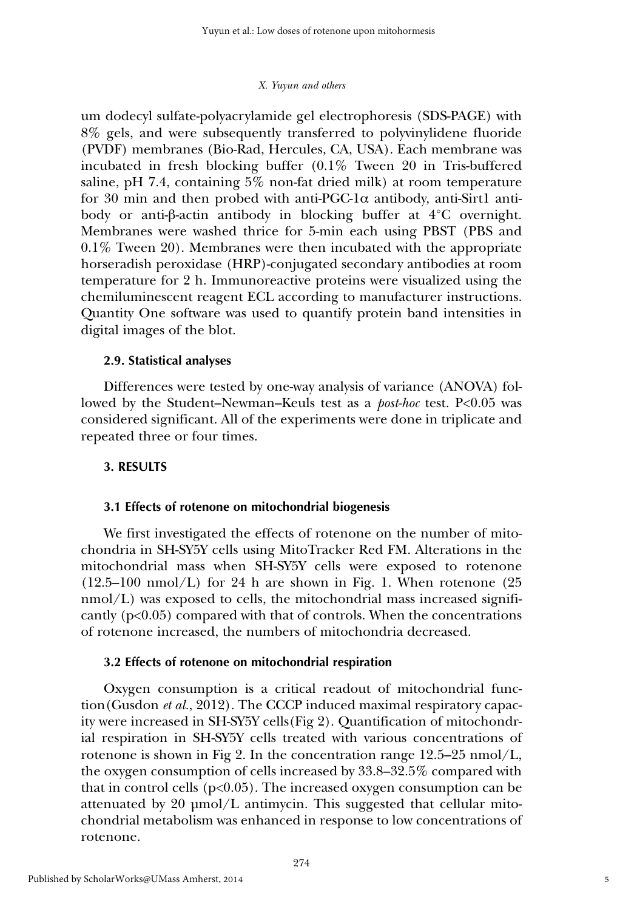um dodecyl sulfate-polyacrylamide gel electrophoresis (SDS-PAGE) with 8% gels, and were subsequently transferred to polyvinylidene fluoride (PVDF) membranes (Bio-Rad, Hercules, CA, USA). Each membrane was incubated in fresh blocking buffer (0.1% Tween 20 in Tris-buffered saline, pH 7.4, containing 5% non-fat dried milk) at room temperature for 30 min and then probed with anti-PGC-1 $\alpha$  antibody, anti-Sirt1 antibody or anti-β-actin antibody in blocking buffer at 4°C overnight. Membranes were washed thrice for 5-min each using PBST (PBS and 0.1% Tween 20). Membranes were then incubated with the appropriate horseradish peroxidase (HRP)-conjugated secondary antibodies at room temperature for 2 h. Immunoreactive proteins were visualized using the chemiluminescent reagent ECL according to manufacturer instructions. Quantity One software was used to quantify protein band intensities in digital images of the blot.

# **2.9. Statistical analyses**

Differences were tested by one-way analysis of variance (ANOVA) followed by the Student–Newman–Keuls test as a *post-hoc* test. P<0.05 was considered significant. All of the experiments were done in triplicate and repeated three or four times.

# **3. RESULTS**

# **3.1 Effects of rotenone on mitochondrial biogenesis**

We first investigated the effects of rotenone on the number of mitochondria in SH-SY5Y cells using MitoTracker Red FM. Alterations in the mitochondrial mass when SH-SY5Y cells were exposed to rotenone  $(12.5-100 \text{ nmol/L})$  for 24 h are shown in Fig. 1. When rotenone  $(25.5)$ nmol/L) was exposed to cells, the mitochondrial mass increased significantly  $(p<0.05)$  compared with that of controls. When the concentrations of rotenone increased, the numbers of mitochondria decreased.

# **3.2 Effects of rotenone on mitochondrial respiration**

Oxygen consumption is a critical readout of mitochondrial function(Gusdon *et al.*, 2012). The CCCP induced maximal respiratory capacity were increased in SH-SY5Y cells(Fig 2). Quantification of mitochondrial respiration in SH-SY5Y cells treated with various concentrations of rotenone is shown in Fig 2. In the concentration range 12.5–25 nmol/L, the oxygen consumption of cells increased by 33.8–32.5% compared with that in control cells ( $p<0.05$ ). The increased oxygen consumption can be attenuated by 20  $\mu$ mol/L antimycin. This suggested that cellular mitochondrial metabolism was enhanced in response to low concentrations of rotenone.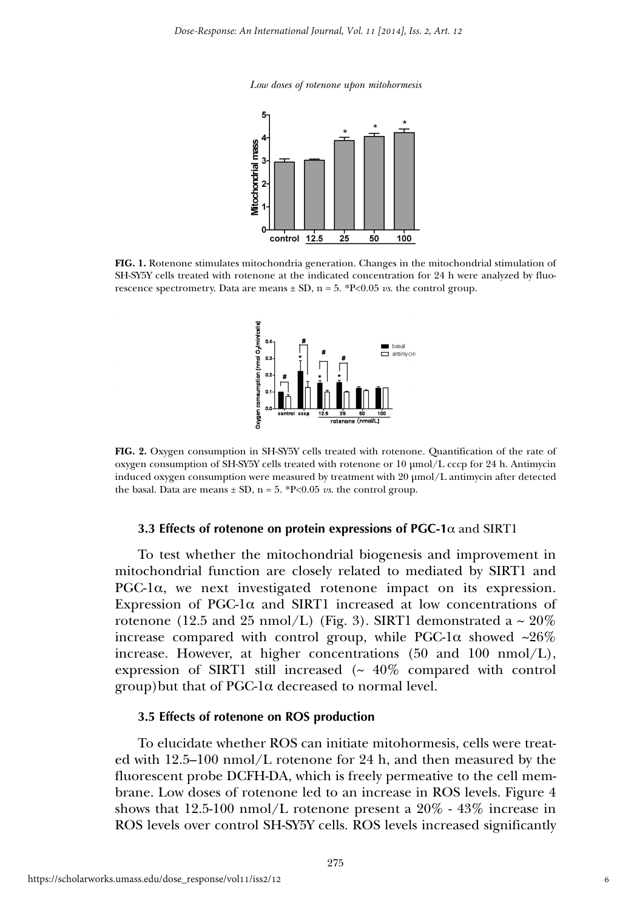

**FIG. 1.** Rotenone stimulates mitochondria generation. Changes in the mitochondrial stimulation of SH-SY5Y cells treated with rotenone at the indicated concentration for 24 h were analyzed by fluorescence spectrometry. Data are means  $\pm$  SD, n = 5. \*P<0.05 *vs*. the control group.



**FIG. 2.** Oxygen consumption in SH-SY5Y cells treated with rotenone. Quantification of the rate of oxygen consumption of SH-SY5Y cells treated with rotenone or 10 µmol/L cccp for 24 h. Antimycin induced oxygen consumption were measured by treatment with 20 µmol/L antimycin after detected the basal. Data are means  $\pm$  SD, n = 5. \*P<0.05 *vs*. the control group.

#### **3.3 Effects of rotenone on protein expressions of PGC-1**α and SIRT1

To test whether the mitochondrial biogenesis and improvement in mitochondrial function are closely related to mediated by SIRT1 and PGC-1 $\alpha$ , we next investigated rotenone impact on its expression. Expression of PGC-1 $\alpha$  and SIRT1 increased at low concentrations of rotenone (12.5 and 25 nmol/L) (Fig. 3). SIRT1 demonstrated a  $\sim$  20% increase compared with control group, while PGC-1 $\alpha$  showed  $\sim 26\%$ increase. However, at higher concentrations  $(50 \text{ and } 100 \text{ nmol/L})$ , expression of SIRT1 still increased  $(~ 40\%$  compared with control  $group)$  but that of PGC-1 $\alpha$  decreased to normal level.

#### **3.5 Effects of rotenone on ROS production**

To elucidate whether ROS can initiate mitohormesis, cells were treated with 12.5–100 nmol/L rotenone for 24 h, and then measured by the fluorescent probe DCFH-DA, which is freely permeative to the cell membrane. Low doses of rotenone led to an increase in ROS levels. Figure 4 shows that 12.5-100 nmol/L rotenone present a  $20\%$  - 43% increase in ROS levels over control SH-SY5Y cells. ROS levels increased significantly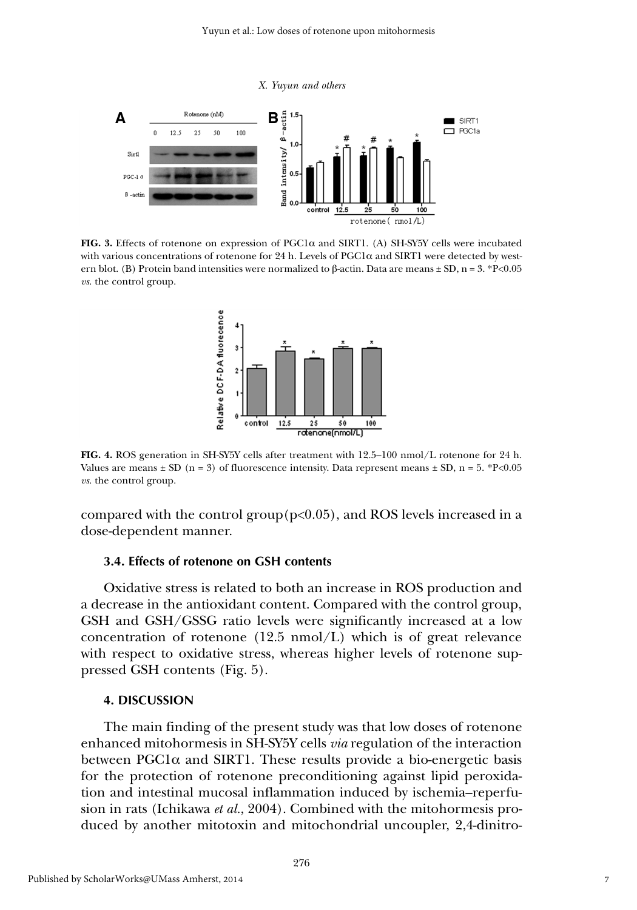

**FIG. 3.** Effects of rotenone on expression of PGC1α and SIRT1. (A) SH-SY5Y cells were incubated with various concentrations of rotenone for 24 h. Levels of  $PGC1\alpha$  and SIRT1 were detected by western blot. (B) Protein band intensities were normalized to β-actin. Data are means  $\pm$  SD, n = 3. \*P<0.05 *vs*. the control group.



**FIG. 4.** ROS generation in SH-SY5Y cells after treatment with 12.5–100 nmol/L rotenone for 24 h. Values are means  $\pm$  SD (n = 3) of fluorescence intensity. Data represent means  $\pm$  SD, n = 5. \*P<0.05 *vs*. the control group.

compared with the control group $(p<0.05)$ , and ROS levels increased in a dose-dependent manner.

#### **3.4. Effects of rotenone on GSH contents**

Oxidative stress is related to both an increase in ROS production and a decrease in the antioxidant content. Compared with the control group, GSH and GSH/GSSG ratio levels were significantly increased at a low concentration of rotenone (12.5 nmol/L) which is of great relevance with respect to oxidative stress, whereas higher levels of rotenone suppressed GSH contents (Fig. 5).

#### **4. DISCUSSION**

The main finding of the present study was that low doses of rotenone enhanced mitohormesis in SH-SY5Y cells *via* regulation of the interaction between PGC1 $\alpha$  and SIRT1. These results provide a bio-energetic basis for the protection of rotenone preconditioning against lipid peroxidation and intestinal mucosal inflammation induced by ischemia–reperfusion in rats (Ichikawa *et al.*, 2004). Combined with the mitohormesis produced by another mitotoxin and mitochondrial uncoupler, 2,4-dinitro-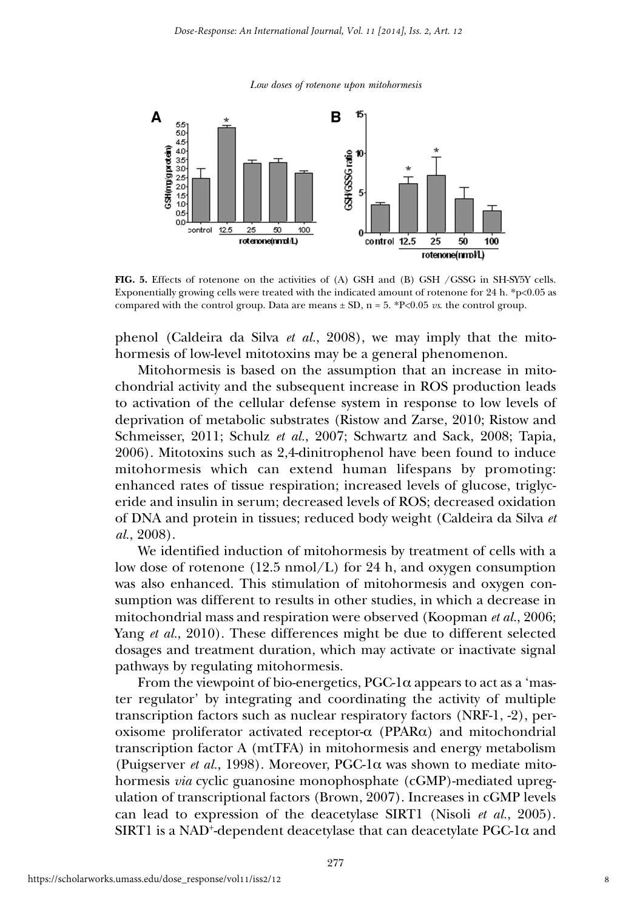

**FIG. 5.** Effects of rotenone on the activities of (A) GSH and (B) GSH /GSSG in SH-SY5Y cells. Exponentially growing cells were treated with the indicated amount of rotenone for 24 h. \*p<0.05 as compared with the control group. Data are means  $\pm$  SD, n = 5. \*P<0.05 *vs*. the control group.

phenol (Caldeira da Silva *et al.*, 2008), we may imply that the mitohormesis of low-level mitotoxins may be a general phenomenon.

Mitohormesis is based on the assumption that an increase in mitochondrial activity and the subsequent increase in ROS production leads to activation of the cellular defense system in response to low levels of deprivation of metabolic substrates (Ristow and Zarse, 2010; Ristow and Schmeisser, 2011; Schulz *et al.*, 2007; Schwartz and Sack, 2008; Tapia, 2006). Mitotoxins such as 2,4-dinitrophenol have been found to induce mitohormesis which can extend human lifespans by promoting: enhanced rates of tissue respiration; increased levels of glucose, triglyceride and insulin in serum; decreased levels of ROS; decreased oxidation of DNA and protein in tissues; reduced body weight (Caldeira da Silva *et al.*, 2008).

We identified induction of mitohormesis by treatment of cells with a low dose of rotenone  $(12.5 \text{ nmol/L})$  for 24 h, and oxygen consumption was also enhanced. This stimulation of mitohormesis and oxygen consumption was different to results in other studies, in which a decrease in mitochondrial mass and respiration were observed (Koopman *et al.*, 2006; Yang *et al.*, 2010). These differences might be due to different selected dosages and treatment duration, which may activate or inactivate signal pathways by regulating mitohormesis.

From the viewpoint of bio-energetics,  $PGC-1\alpha$  appears to act as a 'master regulator' by integrating and coordinating the activity of multiple transcription factors such as nuclear respiratory factors (NRF-1, -2), peroxisome proliferator activated receptor-α (PPARα) and mitochondrial transcription factor A (mtTFA) in mitohormesis and energy metabolism (Puigserver *et al.*, 1998). Moreover, PGC-1 $\alpha$  was shown to mediate mitohormesis *via* cyclic guanosine monophosphate (cGMP)-mediated upregulation of transcriptional factors (Brown, 2007). Increases in cGMP levels can lead to expression of the deacetylase SIRT1 (Nisoli *et al.*, 2005). SIRT1 is a NAD<sup>+</sup>-dependent deacetylase that can deacetylate PGC-1 $\alpha$  and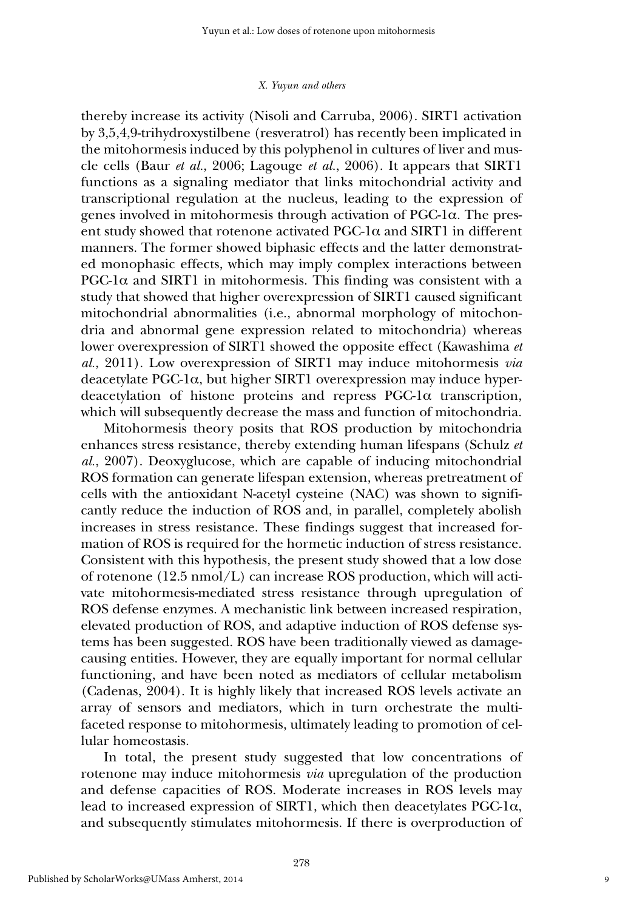thereby increase its activity (Nisoli and Carruba, 2006). SIRT1 activation by 3,5,4,9-trihydroxystilbene (resveratrol) has recently been implicated in the mitohormesis induced by this polyphenol in cultures of liver and muscle cells (Baur *et al.*, 2006; Lagouge *et al.*, 2006). It appears that SIRT1 functions as a signaling mediator that links mitochondrial activity and transcriptional regulation at the nucleus, leading to the expression of genes involved in mitohormesis through activation of PGC-1α. The present study showed that rotenone activated  $PGC-1\alpha$  and SIRT1 in different manners. The former showed biphasic effects and the latter demonstrated monophasic effects, which may imply complex interactions between PGC-1 $\alpha$  and SIRT1 in mitohormesis. This finding was consistent with a study that showed that higher overexpression of SIRT1 caused significant mitochondrial abnormalities (i.e., abnormal morphology of mitochondria and abnormal gene expression related to mitochondria) whereas lower overexpression of SIRT1 showed the opposite effect (Kawashima *et al.*, 2011). Low overexpression of SIRT1 may induce mitohormesis *via* deacetylate PGC-1α, but higher SIRT1 overexpression may induce hyperdeacetylation of histone proteins and repress PGC-1α transcription, which will subsequently decrease the mass and function of mitochondria.

Mitohormesis theory posits that ROS production by mitochondria enhances stress resistance, thereby extending human lifespans (Schulz *et al.*, 2007). Deoxyglucose, which are capable of inducing mitochondrial ROS formation can generate lifespan extension, whereas pretreatment of cells with the antioxidant N-acetyl cysteine (NAC) was shown to significantly reduce the induction of ROS and, in parallel, completely abolish increases in stress resistance. These findings suggest that increased formation of ROS is required for the hormetic induction of stress resistance. Consistent with this hypothesis, the present study showed that a low dose of rotenone (12.5 nmol/L) can increase ROS production, which will activate mitohormesis-mediated stress resistance through upregulation of ROS defense enzymes. A mechanistic link between increased respiration, elevated production of ROS, and adaptive induction of ROS defense systems has been suggested. ROS have been traditionally viewed as damagecausing entities. However, they are equally important for normal cellular functioning, and have been noted as mediators of cellular metabolism (Cadenas, 2004). It is highly likely that increased ROS levels activate an array of sensors and mediators, which in turn orchestrate the multifaceted response to mitohormesis, ultimately leading to promotion of cellular homeostasis.

In total, the present study suggested that low concentrations of rotenone may induce mitohormesis *via* upregulation of the production and defense capacities of ROS. Moderate increases in ROS levels may lead to increased expression of SIRT1, which then deacetylates PGC-1α, and subsequently stimulates mitohormesis. If there is overproduction of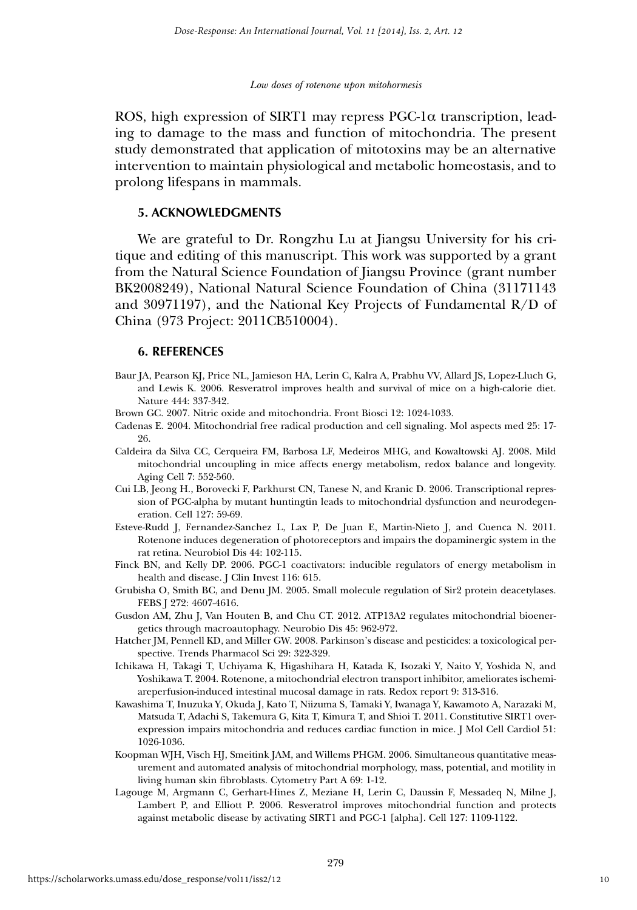ROS, high expression of SIRT1 may repress PGC-1α transcription, leading to damage to the mass and function of mitochondria. The present study demonstrated that application of mitotoxins may be an alternative intervention to maintain physiological and metabolic homeostasis, and to prolong lifespans in mammals.

#### **5. ACKNOWLEDGMENTS**

We are grateful to Dr. Rongzhu Lu at Jiangsu University for his critique and editing of this manuscript. This work was supported by a grant from the Natural Science Foundation of Jiangsu Province (grant number BK2008249), National Natural Science Foundation of China (31171143 and 30971197), and the National Key Projects of Fundamental  $R/D$  of China (973 Project: 2011CB510004).

#### **6. REFERENCES**

- Baur JA, Pearson KJ, Price NL, Jamieson HA, Lerin C, Kalra A, Prabhu VV, Allard JS, Lopez-Lluch G, and Lewis K. 2006. Resveratrol improves health and survival of mice on a high-calorie diet. Nature 444: 337-342.
- Brown GC. 2007. Nitric oxide and mitochondria. Front Biosci 12: 1024-1033.
- Cadenas E. 2004. Mitochondrial free radical production and cell signaling. Mol aspects med 25: 17- 26.
- Caldeira da Silva CC, Cerqueira FM, Barbosa LF, Medeiros MHG, and Kowaltowski AJ. 2008. Mild mitochondrial uncoupling in mice affects energy metabolism, redox balance and longevity. Aging Cell 7: 552-560.
- Cui LB, Jeong H., Borovecki F, Parkhurst CN, Tanese N, and Kranic D. 2006. Transcriptional repression of PGC-alpha by mutant huntingtin leads to mitochondrial dysfunction and neurodegeneration. Cell 127: 59-69.
- Esteve-Rudd J, Fernandez-Sanchez L, Lax P, De Juan E, Martin-Nieto J, and Cuenca N. 2011. Rotenone induces degeneration of photoreceptors and impairs the dopaminergic system in the rat retina. Neurobiol Dis 44: 102-115.
- Finck BN, and Kelly DP. 2006. PGC-1 coactivators: inducible regulators of energy metabolism in health and disease. J Clin Invest 116: 615.
- Grubisha O, Smith BC, and Denu JM. 2005. Small molecule regulation of Sir2 protein deacetylases. FEBS J 272: 4607-4616.
- Gusdon AM, Zhu J, Van Houten B, and Chu CT. 2012. ATP13A2 regulates mitochondrial bioenergetics through macroautophagy. Neurobio Dis 45: 962-972.
- Hatcher JM, Pennell KD, and Miller GW. 2008. Parkinson's disease and pesticides: a toxicological perspective. Trends Pharmacol Sci 29: 322-329.
- Ichikawa H, Takagi T, Uchiyama K, Higashihara H, Katada K, Isozaki Y, Naito Y, Yoshida N, and Yoshikawa T. 2004. Rotenone, a mitochondrial electron transport inhibitor, ameliorates ischemiareperfusion-induced intestinal mucosal damage in rats. Redox report 9: 313-316.
- Kawashima T, Inuzuka Y, Okuda J, Kato T, Niizuma S, Tamaki Y, Iwanaga Y, Kawamoto A, Narazaki M, Matsuda T, Adachi S, Takemura G, Kita T, Kimura T, and Shioi T. 2011. Constitutive SIRT1 overexpression impairs mitochondria and reduces cardiac function in mice. J Mol Cell Cardiol 51: 1026-1036.
- Koopman WJH, Visch HJ, Smeitink JAM, and Willems PHGM. 2006. Simultaneous quantitative measurement and automated analysis of mitochondrial morphology, mass, potential, and motility in living human skin fibroblasts. Cytometry Part A 69: 1-12.
- Lagouge M, Argmann C, Gerhart-Hines Z, Meziane H, Lerin C, Daussin F, Messadeq N, Milne J, Lambert P, and Elliott P. 2006. Resveratrol improves mitochondrial function and protects against metabolic disease by activating SIRT1 and PGC-1 [alpha]. Cell 127: 1109-1122.